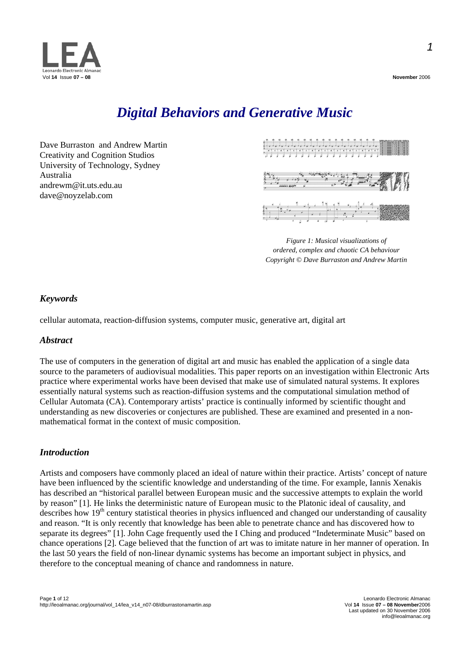

### *Digital Behaviors and Generative Music*

Dave Burraston and Andrew Martin Creativity and Cognition Studios University of Technology, Sydney Australia andrewm@it.uts.edu.au dave@noyzelab.com



*Figure 1: Musical visualizations of ordered, complex and chaotic CA behaviour Copyright © Dave Burraston and Andrew Martin* 

#### *Keywords*

cellular automata, reaction-diffusion systems, computer music, generative art, digital art

#### *Abstract*

The use of computers in the generation of digital art and music has enabled the application of a single data source to the parameters of audiovisual modalities. This paper reports on an investigation within Electronic Arts practice where experimental works have been devised that make use of simulated natural systems. It explores essentially natural systems such as reaction-diffusion systems and the computational simulation method of Cellular Automata (CA). Contemporary artists' practice is continually informed by scientific thought and understanding as new discoveries or conjectures are published. These are examined and presented in a nonmathematical format in the context of music composition.

#### *Introduction*

Artists and composers have commonly placed an ideal of nature within their practice. Artists' concept of nature have been influenced by the scientific knowledge and understanding of the time. For example, Iannis Xenakis has described an "historical parallel between European music and the successive attempts to explain the world by reason" [1]. He links the deterministic nature of European music to the Platonic ideal of causality, and describes how 19<sup>th</sup> century statistical theories in physics influenced and changed our understanding of causality and reason. "It is only recently that knowledge has been able to penetrate chance and has discovered how to separate its degrees" [1]. John Cage frequently used the I Ching and produced "Indeterminate Music" based on chance operations [2]. Cage believed that the function of art was to imitate nature in her manner of operation. In the last 50 years the field of non-linear dynamic systems has become an important subject in physics, and therefore to the conceptual meaning of chance and randomness in nature.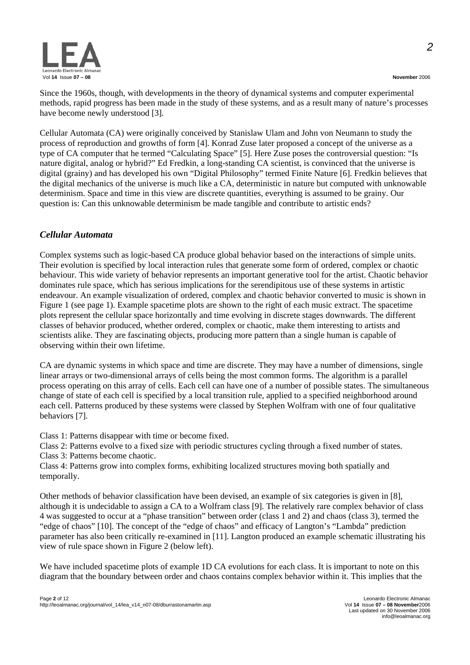

Since the 1960s, though, with developments in the theory of dynamical systems and computer experimental methods, rapid progress has been made in the study of these systems, and as a result many of nature's processes have become newly understood [3].

Cellular Automata (CA) were originally conceived by Stanislaw Ulam and John von Neumann to study the process of reproduction and growths of form [4]. Konrad Zuse later proposed a concept of the universe as a type of CA computer that he termed "Calculating Space" [5]. Here Zuse poses the controversial question: "Is nature digital, analog or hybrid?" Ed Fredkin, a long-standing CA scientist, is convinced that the universe is digital (grainy) and has developed his own "Digital Philosophy" termed Finite Nature [6]. Fredkin believes that the digital mechanics of the universe is much like a CA, deterministic in nature but computed with unknowable determinism. Space and time in this view are discrete quantities, everything is assumed to be grainy. Our question is: Can this unknowable determinism be made tangible and contribute to artistic ends?

#### *Cellular Automata*

Complex systems such as logic-based CA produce global behavior based on the interactions of simple units. Their evolution is specified by local interaction rules that generate some form of ordered, complex or chaotic behaviour. This wide variety of behavior represents an important generative tool for the artist. Chaotic behavior dominates rule space, which has serious implications for the serendipitous use of these systems in artistic endeavour. An example visualization of ordered, complex and chaotic behavior converted to music is shown in Figure 1 (see page 1). Example spacetime plots are shown to the right of each music extract. The spacetime plots represent the cellular space horizontally and time evolving in discrete stages downwards. The different classes of behavior produced, whether ordered, complex or chaotic, make them interesting to artists and scientists alike. They are fascinating objects, producing more pattern than a single human is capable of observing within their own lifetime.

CA are dynamic systems in which space and time are discrete. They may have a number of dimensions, single linear arrays or two-dimensional arrays of cells being the most common forms. The algorithm is a parallel process operating on this array of cells. Each cell can have one of a number of possible states. The simultaneous change of state of each cell is specified by a local transition rule, applied to a specified neighborhood around each cell. Patterns produced by these systems were classed by Stephen Wolfram with one of four qualitative behaviors [7].

Class 1: Patterns disappear with time or become fixed.

Class 2: Patterns evolve to a fixed size with periodic structures cycling through a fixed number of states.

Class 3: Patterns become chaotic.

Class 4: Patterns grow into complex forms, exhibiting localized structures moving both spatially and temporally.

Other methods of behavior classification have been devised, an example of six categories is given in [8], although it is undecidable to assign a CA to a Wolfram class [9]. The relatively rare complex behavior of class 4 was suggested to occur at a "phase transition" between order (class 1 and 2) and chaos (class 3), termed the "edge of chaos" [10]. The concept of the "edge of chaos" and efficacy of Langton's "Lambda" prediction parameter has also been critically re-examined in [11]. Langton produced an example schematic illustrating his view of rule space shown in Figure 2 (below left).

We have included spacetime plots of example 1D CA evolutions for each class. It is important to note on this diagram that the boundary between order and chaos contains complex behavior within it. This implies that the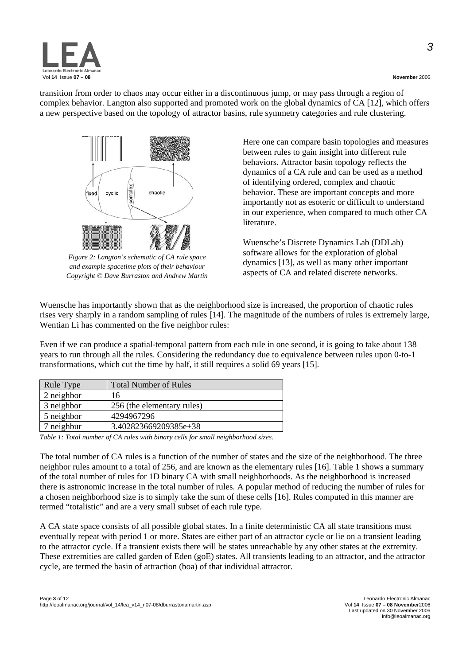



*Figure 2: Langton's schematic of CA rule space and example spacetime plots of their behaviour Copyright © Dave Burraston and Andrew Martin* 

Here one can compare basin topologies and measures between rules to gain insight into different rule behaviors. Attractor basin topology reflects the dynamics of a CA rule and can be used as a method of identifying ordered, complex and chaotic behavior. These are important concepts and more importantly not as esoteric or difficult to understand in our experience, when compared to much other CA literature.

Wuensche's Discrete Dynamics Lab (DDLab) software allows for the exploration of global dynamics [13], as well as many other important aspects of CA and related discrete networks.

Wuensche has importantly shown that as the neighborhood size is increased, the proportion of chaotic rules rises very sharply in a random sampling of rules [14]. The magnitude of the numbers of rules is extremely large, Wentian Li has commented on the five neighbor rules:

Even if we can produce a spatial-temporal pattern from each rule in one second, it is going to take about 138 years to run through all the rules. Considering the redundancy due to equivalence between rules upon 0-to-1 transformations, which cut the time by half, it still requires a solid 69 years [15].

| Rule Type  | <b>Total Number of Rules</b> |
|------------|------------------------------|
| 2 neighbor | 16                           |
| 3 neighbor | 256 (the elementary rules)   |
| 5 neighbor | 4294967296                   |
| neighbur   | 3.402823669209385e+38        |

*Table 1: Total number of CA rules with binary cells for small neighborhood sizes.* 

The total number of CA rules is a function of the number of states and the size of the neighborhood. The three neighbor rules amount to a total of 256, and are known as the elementary rules [16]. Table 1 shows a summary of the total number of rules for 1D binary CA with small neighborhoods. As the neighborhood is increased there is astronomic increase in the total number of rules. A popular method of reducing the number of rules for a chosen neighborhood size is to simply take the sum of these cells [16]. Rules computed in this manner are termed "totalistic" and are a very small subset of each rule type.

A CA state space consists of all possible global states. In a finite deterministic CA all state transitions must eventually repeat with period 1 or more. States are either part of an attractor cycle or lie on a transient leading to the attractor cycle. If a transient exists there will be states unreachable by any other states at the extremity. These extremities are called garden of Eden (goE) states. All transients leading to an attractor, and the attractor cycle, are termed the basin of attraction (boa) of that individual attractor.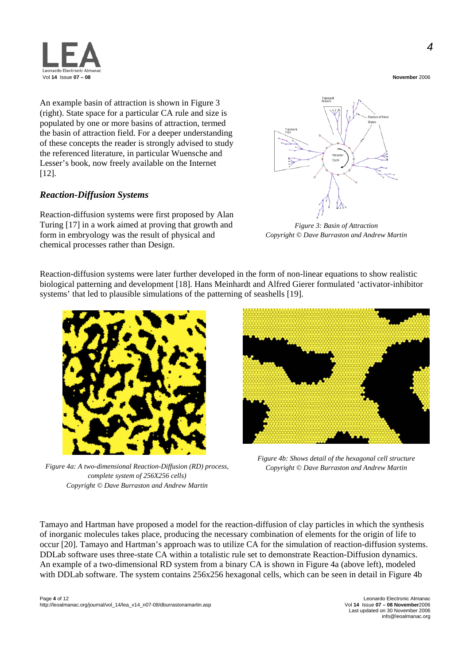

An example basin of attraction is shown in Figure 3 (right). State space for a particular CA rule and size is populated by one or more basins of attraction, termed the basin of attraction field. For a deeper understanding of these concepts the reader is strongly advised to study the referenced literature, in particular Wuensche and Lesser's book, now freely available on the Internet [12].

#### *Reaction-Diffusion Systems*

Reaction-diffusion systems were first proposed by Alan Turing [17] in a work aimed at proving that growth and form in embryology was the result of physical and chemical processes rather than Design.



*Figure 3: Basin of Attraction Copyright © Dave Burraston and Andrew Martin* 

Reaction-diffusion systems were later further developed in the form of non-linear equations to show realistic biological patterning and development [18]. Hans Meinhardt and Alfred Gierer formulated 'activator-inhibitor systems' that led to plausible simulations of the patterning of seashells [19].



*Figure 4a: A two-dimensional Reaction-Diffusion (RD) process, complete system of 256X256 cells) Copyright © Dave Burraston and Andrew Martin* 



*Figure 4b: Shows detail of the hexagonal cell structure Copyright © Dave Burraston and Andrew Martin* 

Tamayo and Hartman have proposed a model for the reaction-diffusion of clay particles in which the synthesis of inorganic molecules takes place, producing the necessary combination of elements for the origin of life to occur [20]. Tamayo and Hartman's approach was to utilize CA for the simulation of reaction-diffusion systems. DDLab software uses three-state CA within a totalistic rule set to demonstrate Reaction-Diffusion dynamics. An example of a two-dimensional RD system from a binary CA is shown in Figure 4a (above left), modeled with DDLab software. The system contains 256x256 hexagonal cells, which can be seen in detail in Figure 4b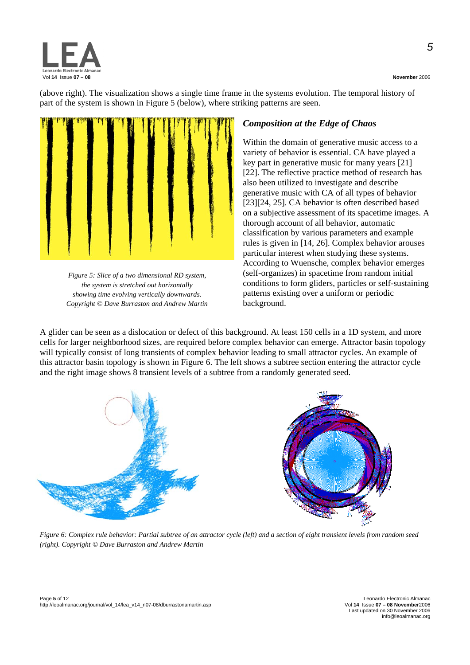

(above right). The visualization shows a single time frame in the systems evolution. The temporal history of part of the system is shown in Figure 5 (below), where striking patterns are seen.



*Figure 5: Slice of a two dimensional RD system, the system is stretched out horizontally showing time evolving vertically downwards. Copyright © Dave Burraston and Andrew Martin* 

#### *Composition at the Edge of Chaos*

Within the domain of generative music access to a variety of behavior is essential. CA have played a key part in generative music for many years [21] [22]. The reflective practice method of research has also been utilized to investigate and describe generative music with CA of all types of behavior [23][24, 25]. CA behavior is often described based on a subjective assessment of its spacetime images. A thorough account of all behavior, automatic classification by various parameters and example rules is given in [14, 26]. Complex behavior arouses particular interest when studying these systems. According to Wuensche, complex behavior emerges (self-organizes) in spacetime from random initial conditions to form gliders, particles or self-sustaining patterns existing over a uniform or periodic background.

A glider can be seen as a dislocation or defect of this background. At least 150 cells in a 1D system, and more cells for larger neighborhood sizes, are required before complex behavior can emerge. Attractor basin topology will typically consist of long transients of complex behavior leading to small attractor cycles. An example of this attractor basin topology is shown in Figure 6. The left shows a subtree section entering the attractor cycle and the right image shows 8 transient levels of a subtree from a randomly generated seed.



*Figure 6: Complex rule behavior: Partial subtree of an attractor cycle (left) and a section of eight transient levels from random seed (right). Copyright © Dave Burraston and Andrew Martin*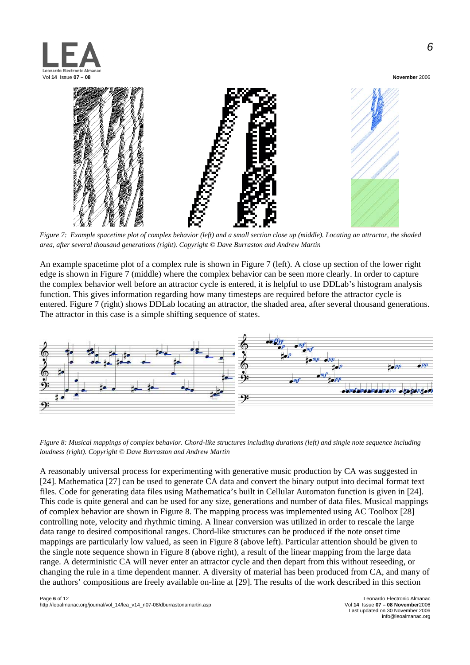



*Figure 7: Example spacetime plot of complex behavior (left) and a small section close up (middle). Locating an attractor, the shaded area, after several thousand generations (right). Copyright © Dave Burraston and Andrew Martin* 

An example spacetime plot of a complex rule is shown in Figure 7 (left). A close up section of the lower right edge is shown in Figure 7 (middle) where the complex behavior can be seen more clearly. In order to capture the complex behavior well before an attractor cycle is entered, it is helpful to use DDLab's histogram analysis function. This gives information regarding how many timesteps are required before the attractor cycle is entered. Figure 7 (right) shows DDLab locating an attractor, the shaded area, after several thousand generations. The attractor in this case is a simple shifting sequence of states.



*Figure 8: Musical mappings of complex behavior. Chord-like structures including durations (left) and single note sequence including loudness (right). Copyright © Dave Burraston and Andrew Martin* 

A reasonably universal process for experimenting with generative music production by CA was suggested in [24]. Mathematica [27] can be used to generate CA data and convert the binary output into decimal format text files. Code for generating data files using Mathematica's built in Cellular Automaton function is given in [24]. This code is quite general and can be used for any size, generations and number of data files. Musical mappings of complex behavior are shown in Figure 8. The mapping process was implemented using AC Toolbox [28] controlling note, velocity and rhythmic timing. A linear conversion was utilized in order to rescale the large data range to desired compositional ranges. Chord-like structures can be produced if the note onset time mappings are particularly low valued, as seen in Figure 8 (above left). Particular attention should be given to the single note sequence shown in Figure 8 (above right), a result of the linear mapping from the large data range. A deterministic CA will never enter an attractor cycle and then depart from this without reseeding, or changing the rule in a time dependent manner. A diversity of material has been produced from CA, and many of the authors' compositions are freely available on-line at [29]. The results of the work described in this section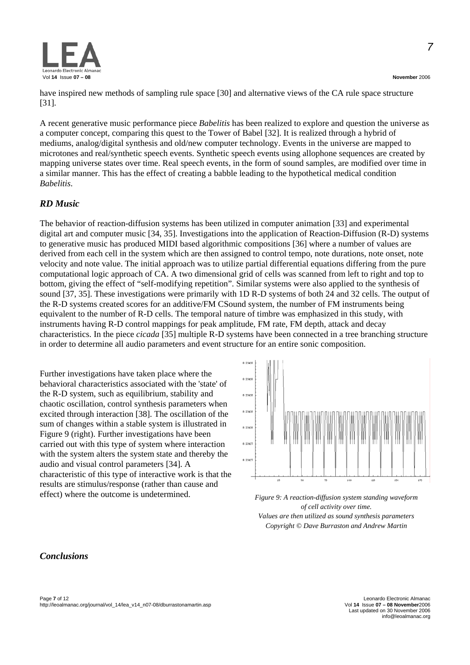

A recent generative music performance piece *Babelitis* has been realized to explore and question the universe as a computer concept, comparing this quest to the Tower of Babel [32]. It is realized through a hybrid of mediums, analog/digital synthesis and old/new computer technology. Events in the universe are mapped to microtones and real/synthetic speech events. Synthetic speech events using allophone sequences are created by mapping universe states over time. Real speech events, in the form of sound samples, are modified over time in a similar manner. This has the effect of creating a babble leading to the hypothetical medical condition *Babelitis*.

#### *RD Music*

The behavior of reaction-diffusion systems has been utilized in computer animation [33] and experimental digital art and computer music [34, 35]. Investigations into the application of Reaction-Diffusion (R-D) systems to generative music has produced MIDI based algorithmic compositions [36] where a number of values are derived from each cell in the system which are then assigned to control tempo, note durations, note onset, note velocity and note value. The initial approach was to utilize partial differential equations differing from the pure computational logic approach of CA. A two dimensional grid of cells was scanned from left to right and top to bottom, giving the effect of "self-modifying repetition". Similar systems were also applied to the synthesis of sound [37, 35]. These investigations were primarily with 1D R-D systems of both 24 and 32 cells. The output of the R-D systems created scores for an additive/FM CSound system, the number of FM instruments being equivalent to the number of R-D cells. The temporal nature of timbre was emphasized in this study, with instruments having R-D control mappings for peak amplitude, FM rate, FM depth, attack and decay characteristics. In the piece *cicada* [35] multiple R-D systems have been connected in a tree branching structure in order to determine all audio parameters and event structure for an entire sonic composition.

Further investigations have taken place where the behavioral characteristics associated with the 'state' of the R-D system, such as equilibrium, stability and chaotic oscillation, control synthesis parameters when excited through interaction [38]. The oscillation of the sum of changes within a stable system is illustrated in Figure 9 (right). Further investigations have been carried out with this type of system where interaction with the system alters the system state and thereby the audio and visual control parameters [34]. A characteristic of this type of interactive work is that the results are stimulus/response (rather than cause and effect) where the outcome is undetermined. *Figure 9: A reaction-diffusion system standing waveform* 



*of cell activity over time. Values are then utilized as sound synthesis parameters Copyright © Dave Burraston and Andrew Martin* 

#### *Conclusions*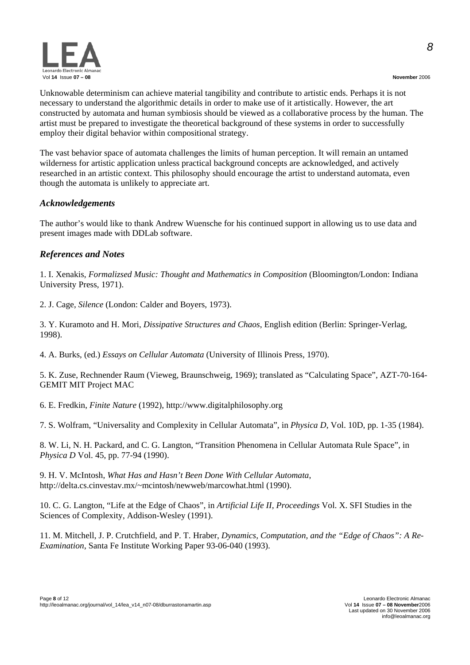Unknowable determinism can achieve material tangibility and contribute to artistic ends. Perhaps it is not necessary to understand the algorithmic details in order to make use of it artistically. However, the art constructed by automata and human symbiosis should be viewed as a collaborative process by the human. The artist must be prepared to investigate the theoretical background of these systems in order to successfully employ their digital behavior within compositional strategy.

The vast behavior space of automata challenges the limits of human perception. It will remain an untamed wilderness for artistic application unless practical background concepts are acknowledged, and actively researched in an artistic context. This philosophy should encourage the artist to understand automata, even though the automata is unlikely to appreciate art.

#### *Acknowledgements*

The author's would like to thank Andrew Wuensche for his continued support in allowing us to use data and present images made with DDLab software.

#### *References and Notes*

1. I. Xenakis, *Formalizsed Music: Thought and Mathematics in Composition* (Bloomington/London: Indiana University Press, 1971).

2. J. Cage, *Silence* (London: Calder and Boyers, 1973).

3. Y. Kuramoto and H. Mori, *Dissipative Structures and Chaos*, English edition (Berlin: Springer-Verlag, 1998).

4. A. Burks, (ed.) *Essays on Cellular Automata* (University of Illinois Press, 1970).

5. K. Zuse, Rechnender Raum (Vieweg, Braunschweig, 1969); translated as "Calculating Space", AZT-70-164- GEMIT MIT Project MAC

6. E. Fredkin, *Finite Nature* (1992), http://www.digitalphilosophy.org

7. S. Wolfram, "Universality and Complexity in Cellular Automata", in *Physica D*, Vol. 10D, pp. 1-35 (1984).

8. W. Li, N. H. Packard, and C. G. Langton, "Transition Phenomena in Cellular Automata Rule Space", in *Physica D* Vol. 45, pp. 77-94 (1990).

9. H. V. McIntosh, *What Has and Hasn't Been Done With Cellular Automata*, http://delta.cs.cinvestav.mx/~mcintosh/newweb/marcowhat.html (1990).

10. C. G. Langton, "Life at the Edge of Chaos", in *Artificial Life II, Proceedings* Vol. X. SFI Studies in the Sciences of Complexity, Addison-Wesley (1991).

11. M. Mitchell, J. P. Crutchfield, and P. T. Hraber, *Dynamics, Computation, and the "Edge of Chaos": A Re-Examination*, Santa Fe Institute Working Paper 93-06-040 (1993).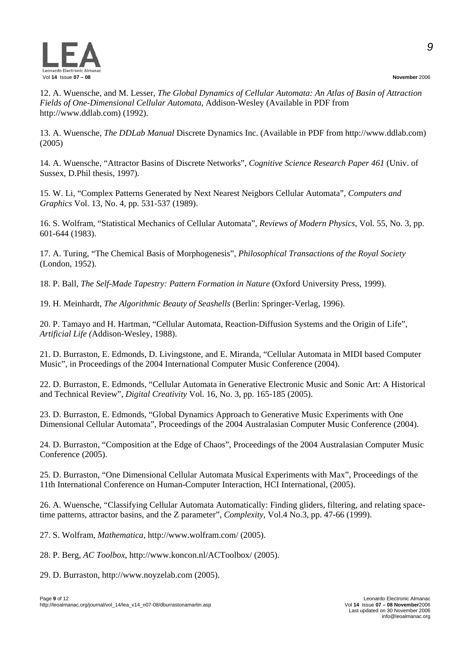

12. A. Wuensche, and M. Lesser, *The Global Dynamics of Cellular Automata: An Atlas of Basin of Attraction Fields of One-Dimensional Cellular Automata*, Addison-Wesley (Available in PDF from http://www.ddlab.com) (1992).

13. A. Wuensche, *The DDLab Manual* Discrete Dynamics Inc. (Available in PDF from http://www.ddlab.com) (2005)

14. A. Wuensche, "Attractor Basins of Discrete Networks", *Cognitive Science Research Paper 461* (Univ. of Sussex, D.Phil thesis, 1997).

15. W. Li, "Complex Patterns Generated by Next Nearest Neigbors Cellular Automata", *Computers and Graphics* Vol. 13, No. 4, pp. 531-537 (1989).

16. S. Wolfram, "Statistical Mechanics of Cellular Automata", *Reviews of Modern Physics*, Vol. 55, No. 3, pp. 601-644 (1983).

17. A. Turing, "The Chemical Basis of Morphogenesis", *Philosophical Transactions of the Royal Society* (London, 1952).

18. P. Ball, *The Self-Made Tapestry: Pattern Formation in Nature* (Oxford University Press, 1999).

19. H. Meinhardt, *The Algorithmic Beauty of Seashells* (Berlin: Springer-Verlag, 1996).

20. P. Tamayo and H. Hartman, "Cellular Automata, Reaction-Diffusion Systems and the Origin of Life", *Artificial Life (*Addison-Wesley, 1988).

21. D. Burraston, E. Edmonds, D. Livingstone, and E. Miranda, "Cellular Automata in MIDI based Computer Music", in Proceedings of the 2004 International Computer Music Conference (2004).

22. D. Burraston, E. Edmonds, "Cellular Automata in Generative Electronic Music and Sonic Art: A Historical and Technical Review", *Digital Creativity* Vol. 16, No. 3, pp. 165-185 (2005).

23. D. Burraston, E. Edmonds, "Global Dynamics Approach to Generative Music Experiments with One Dimensional Cellular Automata", Proceedings of the 2004 Australasian Computer Music Conference (2004).

24. D. Burraston, "Composition at the Edge of Chaos", Proceedings of the 2004 Australasian Computer Music Conference (2005).

25. D. Burraston, "One Dimensional Cellular Automata Musical Experiments with Max", Proceedings of the 11th International Conference on Human-Computer Interaction, HCI International, (2005).

26. A. Wuensche, "Classifying Cellular Automata Automatically: Finding gliders, filtering, and relating spacetime patterns, attractor basins, and the Z parameter", *Complexity*, Vol.4 No.3, pp. 47-66 (1999).

27. S. Wolfram, *Mathematica*, http://www.wolfram.com/ (2005).

28. P. Berg, *AC Toolbox*, http://www.koncon.nl/ACToolbox/ (2005).

29. D. Burraston, http://www.noyzelab.com (2005).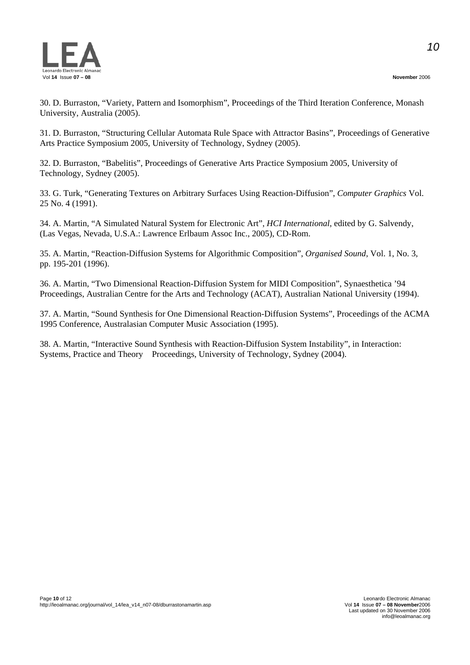

30. D. Burraston, "Variety, Pattern and Isomorphism", Proceedings of the Third Iteration Conference, Monash University, Australia (2005).

31. D. Burraston, "Structuring Cellular Automata Rule Space with Attractor Basins", Proceedings of Generative Arts Practice Symposium 2005, University of Technology, Sydney (2005).

32. D. Burraston, "Babelitis", Proceedings of Generative Arts Practice Symposium 2005, University of Technology, Sydney (2005).

33. G. Turk, "Generating Textures on Arbitrary Surfaces Using Reaction-Diffusion", *Computer Graphics* Vol. 25 No. 4 (1991).

34. A. Martin, "A Simulated Natural System for Electronic Art", *HCI International*, edited by G. Salvendy, (Las Vegas, Nevada, U.S.A.: Lawrence Erlbaum Assoc Inc., 2005), CD-Rom.

35. A. Martin, "Reaction-Diffusion Systems for Algorithmic Composition", *Organised Sound*, Vol. 1, No. 3, pp. 195-201 (1996).

36. A. Martin, "Two Dimensional Reaction-Diffusion System for MIDI Composition", Synaesthetica '94 Proceedings, Australian Centre for the Arts and Technology (ACAT), Australian National University (1994).

37. A. Martin, "Sound Synthesis for One Dimensional Reaction-Diffusion Systems", Proceedings of the ACMA 1995 Conference, Australasian Computer Music Association (1995).

38. A. Martin, "Interactive Sound Synthesis with Reaction-Diffusion System Instability", in Interaction: Systems, Practice and Theory Proceedings, University of Technology, Sydney (2004).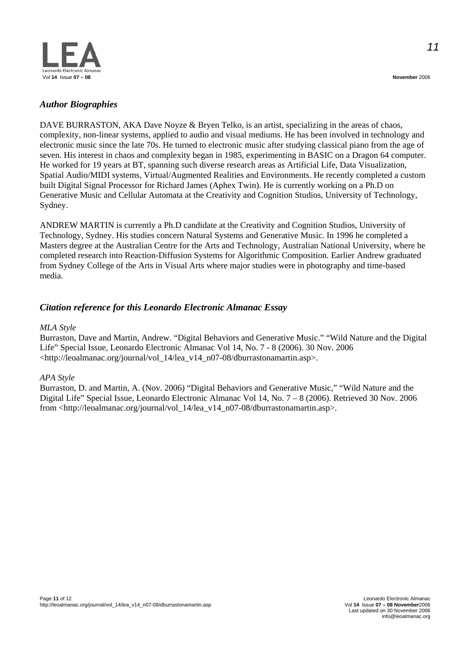

#### *Author Biographies*

DAVE BURRASTON, AKA Dave Noyze & Bryen Telko, is an artist, specializing in the areas of chaos, complexity, non-linear systems, applied to audio and visual mediums. He has been involved in technology and electronic music since the late 70s. He turned to electronic music after studying classical piano from the age of seven. His interest in chaos and complexity began in 1985, experimenting in BASIC on a Dragon 64 computer. He worked for 19 years at BT, spanning such diverse research areas as Artificial Life, Data Visualization, Spatial Audio/MIDI systems, Virtual/Augmented Realities and Environments. He recently completed a custom built Digital Signal Processor for Richard James (Aphex Twin). He is currently working on a Ph.D on Generative Music and Cellular Automata at the Creativity and Cognition Studios, University of Technology, Sydney.

ANDREW MARTIN is currently a Ph.D candidate at the Creativity and Cognition Studios, University of Technology, Sydney. His studies concern Natural Systems and Generative Music. In 1996 he completed a Masters degree at the Australian Centre for the Arts and Technology, Australian National University, where he completed research into Reaction-Diffusion Systems for Algorithmic Composition. Earlier Andrew graduated from Sydney College of the Arts in Visual Arts where major studies were in photography and time-based media.

#### *Citation reference for this Leonardo Electronic Almanac Essay*

#### *MLA Style*

Burraston, Dave and Martin, Andrew. "Digital Behaviors and Generative Music." "Wild Nature and the Digital Life" Special Issue, Leonardo Electronic Almanac Vol 14, No. 7 - 8 (2006). 30 Nov. 2006 <http://leoalmanac.org/journal/vol\_14/lea\_v14\_n07-08/dburrastonamartin.asp>.

#### *APA Style*

Burraston, D. and Martin, A. (Nov. 2006) "Digital Behaviors and Generative Music," "Wild Nature and the Digital Life" Special Issue, Leonardo Electronic Almanac Vol 14, No. 7 – 8 (2006). Retrieved 30 Nov. 2006 from <http://leoalmanac.org/journal/vol\_14/lea\_v14\_n07-08/dburrastonamartin.asp>.